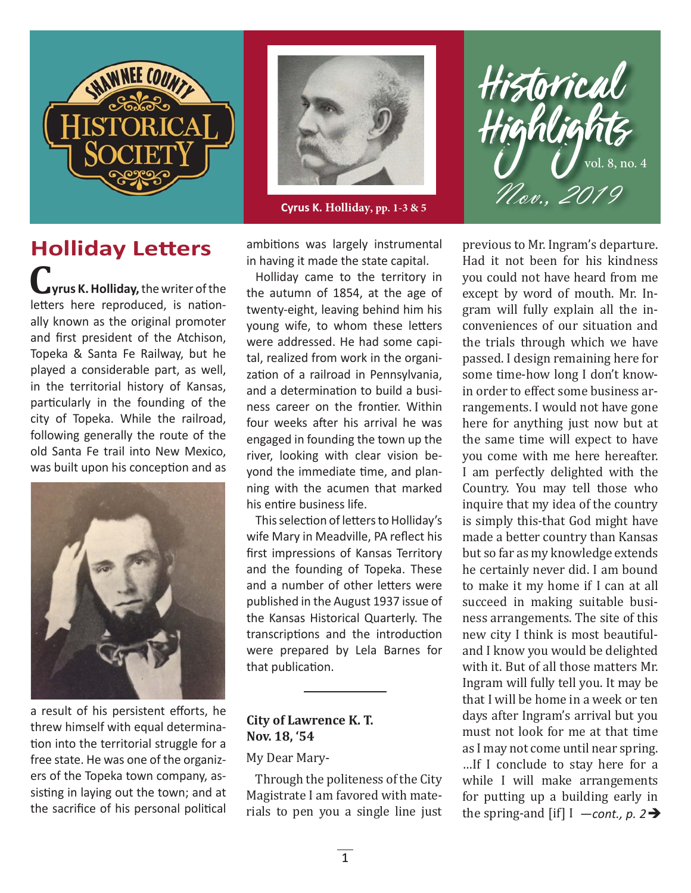

## **Holliday Letters**  $\int$ yrus K. Holliday, the writer of the letters here reproduced, is nationally known as the original promoter and first president of the Atchison,

Topeka & Santa Fe Railway, but he played a considerable part, as well, in the territorial history of Kansas, particularly in the founding of the city of Topeka. While the railroad, following generally the route of the old Santa Fe trail into New Mexico, was built upon his conception and as



a result of his persistent efforts, he threw himself with equal determination into the territorial struggle for a free state. He was one of the organizers of the Topeka town company, assisting in laying out the town; and at the sacrifice of his personal political



**Cyrus K. Holliday, pp. 1-3 & 5**

ambitions was largely instrumental in having it made the state capital.

Holliday came to the territory in the autumn of 1854, at the age of twenty-eight, leaving behind him his young wife, to whom these letters were addressed. He had some capital, realized from work in the organization of a railroad in Pennsylvania. and a determination to build a business career on the frontier. Within four weeks after his arrival he was engaged in founding the town up the river, looking with clear vision beyond the immediate time, and planning with the acumen that marked his entire business life.

This selection of letters to Holliday's wife Mary in Meadville, PA reflect his first impressions of Kansas Territory and the founding of Topeka. These and a number of other letters were published in the August 1937 issue of the Kansas Historical Quarterly. The transcriptions and the introduction were prepared by Lela Barnes for that publication.

#### **City of Lawrence K. T. Nov. 18, '54**

#### My Dear Mary-

Through the politeness of the City Magistrate I am favored with materials to pen you a single line just

previous to Mr. Ingram's departure. Had it not been for his kindness you could not have heard from me except by word of mouth. Mr. Ingram will fully explain all the inconveniences of our situation and the trials through which we have passed. I design remaining here for some time-how long I don't knowin order to effect some business arrangements. I would not have gone here for anything just now but at the same time will expect to have you come with me here hereafter. I am perfectly delighted with the Country. You may tell those who inquire that my idea of the country is simply this-that God might have made a better country than Kansas but so far as my knowledge extends he certainly never did. I am bound to make it my home if I can at all succeed in making suitable business arrangements. The site of this new city I think is most beautifuland I know you would be delighted with it. But of all those matters Mr. Ingram will fully tell you. It may be that I will be home in a week or ten days after Ingram's arrival but you must not look for me at that time as I may not come until near spring. …If I conclude to stay here for a while I will make arrangements for putting up a building early in the spring-and [if]  $I$   $\rightarrow$  *cont., p.* 2 $\rightarrow$ 

Historical<br>Highlights

 $\bigcup_{\mathcal{U}}$  vol. 8, no. 4

Nov., 2019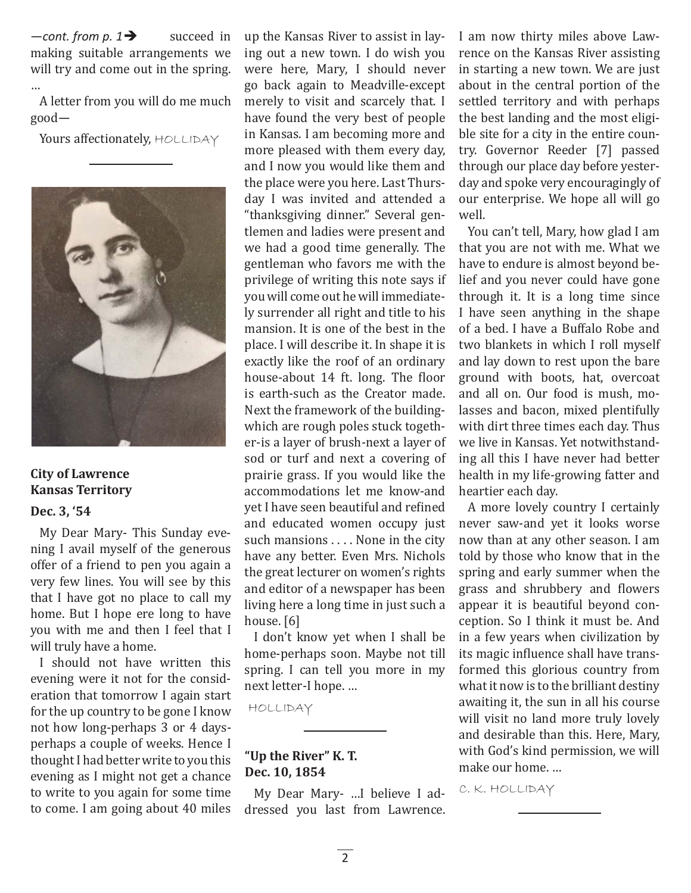succeed in making suitable arrangements we will try and come out in the spring. …  $--$ *cont.* from p. 1 $\rightarrow$ 

A letter from you will do me much good—

Yours affectionately, HOLLIDAY



#### **City of Lawrence Kansas Territory**

#### **Dec. 3, '54**

My Dear Mary- This Sunday evening I avail myself of the generous offer of a friend to pen you again a very few lines. You will see by this that I have got no place to call my home. But I hope ere long to have you with me and then I feel that I will truly have a home.

I should not have written this evening were it not for the consideration that tomorrow I again start for the up country to be gone I know not how long-perhaps 3 or 4 daysperhaps a couple of weeks. Hence I thought I had better write to you this evening as I might not get a chance to write to you again for some time to come. I am going about 40 miles up the Kansas River to assist in laying out a new town. I do wish you were here, Mary, I should never go back again to Meadville-except merely to visit and scarcely that. I have found the very best of people in Kansas. I am becoming more and more pleased with them every day, and I now you would like them and the place were you here. Last Thursday I was invited and attended a "thanksgiving dinner." Several gentlemen and ladies were present and we had a good time generally. The gentleman who favors me with the privilege of writing this note says if you will come out he will immediately surrender all right and title to his mansion. It is one of the best in the place. I will describe it. In shape it is exactly like the roof of an ordinary house-about 14 ft. long. The floor is earth-such as the Creator made. Next the framework of the buildingwhich are rough poles stuck together-is a layer of brush-next a layer of sod or turf and next a covering of prairie grass. If you would like the accommodations let me know-and yet I have seen beautiful and refined and educated women occupy just such mansions . . . . None in the city have any better. Even Mrs. Nichols the great lecturer on women's rights and editor of a newspaper has been living here a long time in just such a house. [6]

I don't know yet when I shall be home-perhaps soon. Maybe not till spring. I can tell you more in my next letter-I hope. …

HOLLIDAY

#### **"Up the River" K. T. Dec. 10, 1854**

My Dear Mary- …I believe I addressed you last from Lawrence. I am now thirty miles above Lawrence on the Kansas River assisting in starting a new town. We are just about in the central portion of the settled territory and with perhaps the best landing and the most eligible site for a city in the entire country. Governor Reeder [7] passed through our place day before yesterday and spoke very encouragingly of our enterprise. We hope all will go well.

You can't tell, Mary, how glad I am that you are not with me. What we have to endure is almost beyond belief and you never could have gone through it. It is a long time since I have seen anything in the shape of a bed. I have a Buffalo Robe and two blankets in which I roll myself and lay down to rest upon the bare ground with boots, hat, overcoat and all on. Our food is mush, molasses and bacon, mixed plentifully with dirt three times each day. Thus we live in Kansas. Yet notwithstanding all this I have never had better health in my life-growing fatter and heartier each day.

A more lovely country I certainly never saw-and yet it looks worse now than at any other season. I am told by those who know that in the spring and early summer when the grass and shrubbery and flowers appear it is beautiful beyond conception. So I think it must be. And in a few years when civilization by its magic influence shall have transformed this glorious country from what it now is to the brilliant destiny awaiting it, the sun in all his course will visit no land more truly lovely and desirable than this. Here, Mary, with God's kind permission, we will make our home. …

C. K. HOLLIDAY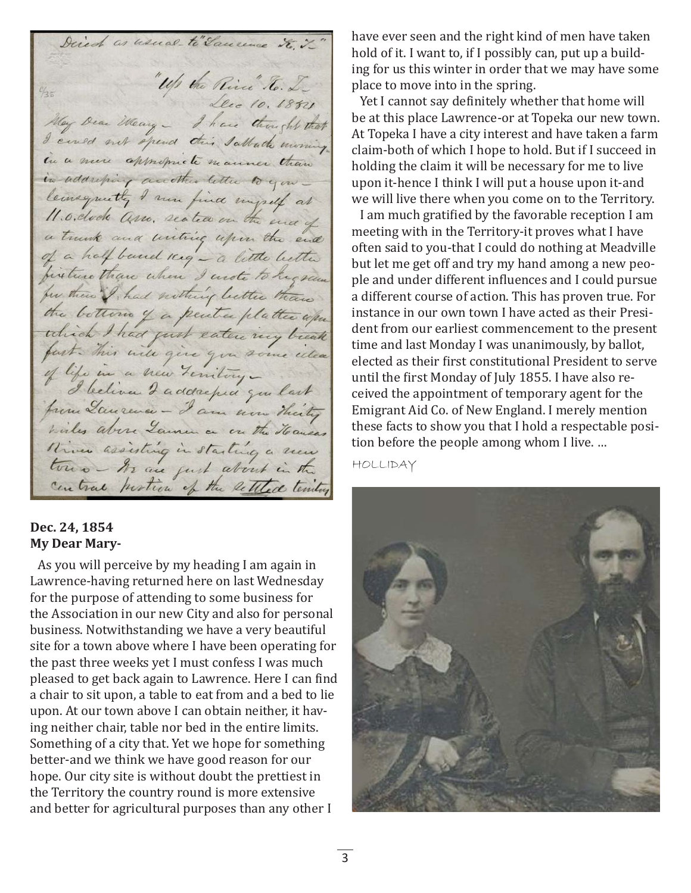Direct as usual to"Saucence to y "Up the River" To. L. Lecc 10. 1851 May Dear Weary - I have thought that I cened not spend this Sattach morning in a new appropriate manner than in addressing accotter letter to you leansquitte I were find myself at a trunk and untilize upon the end of a half band meg - a little better for these I had nothing better than the bottom of a peuter platter when the bottom of a peute platter upon wiles above Launen on on the Hausas There assisting in starting a new

#### **Dec. 24, 1854 My Dear Mary-**

As you will perceive by my heading I am again in Lawrence-having returned here on last Wednesday for the purpose of attending to some business for the Association in our new City and also for personal business. Notwithstanding we have a very beautiful site for a town above where I have been operating for the past three weeks yet I must confess I was much pleased to get back again to Lawrence. Here I can find a chair to sit upon, a table to eat from and a bed to lie upon. At our town above I can obtain neither, it having neither chair, table nor bed in the entire limits. Something of a city that. Yet we hope for something better-and we think we have good reason for our hope. Our city site is without doubt the prettiest in the Territory the country round is more extensive and better for agricultural purposes than any other I

have ever seen and the right kind of men have taken hold of it. I want to, if I possibly can, put up a building for us this winter in order that we may have some place to move into in the spring.

Yet I cannot say definitely whether that home will be at this place Lawrence-or at Topeka our new town. At Topeka I have a city interest and have taken a farm claim-both of which I hope to hold. But if I succeed in holding the claim it will be necessary for me to live upon it-hence I think I will put a house upon it-and we will live there when you come on to the Territory.

I am much gratified by the favorable reception I am meeting with in the Territory-it proves what I have often said to you-that I could do nothing at Meadville but let me get off and try my hand among a new people and under different influences and I could pursue a different course of action. This has proven true. For instance in our own town I have acted as their President from our earliest commencement to the present time and last Monday I was unanimously, by ballot, elected as their first constitutional President to serve until the first Monday of July 1855. I have also received the appointment of temporary agent for the Emigrant Aid Co. of New England. I merely mention these facts to show you that I hold a respectable position before the people among whom I live. …

HOLLIDAY

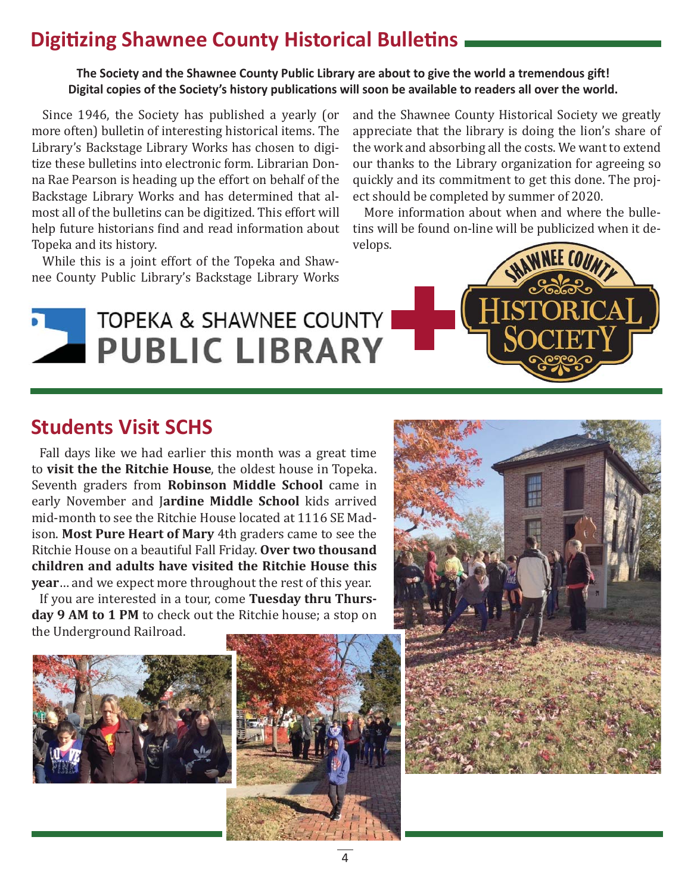## **Digitizing Shawnee County Historical Bulletins**

#### The Society and the Shawnee County Public Library are about to give the world a tremendous gift! Digital copies of the Society's history publications will soon be available to readers all over the world.

Since 1946, the Society has published a yearly (or more often) bulletin of interesting historical items. The Library's Backstage Library Works has chosen to digitize these bulletins into electronic form. Librarian Donna Rae Pearson is heading up the effort on behalf of the Backstage Library Works and has determined that almost all of the bulletins can be digitized. This effort will help future historians find and read information about Topeka and its history.

While this is a joint effort of the Topeka and Shawnee County Public Library's Backstage Library Works and the Shawnee County Historical Society we greatly appreciate that the library is doing the lion's share of the work and absorbing all the costs. We want to extend our thanks to the Library organization for agreeing so quickly and its commitment to get this done. The project should be completed by summer of 2020.

More information about when and where the bulletins will be found on-line will be publicized when it develops.



## **Students Visit SCHS**

Fall days like we had earlier this month was a great time to **visit the the Ritchie House**, the oldest house in Topeka. Seventh graders from **Robinson Middle School** came in early November and J**ardine Middle School** kids arrived mid-month to see the Ritchie House located at 1116 SE Madison. **Most Pure Heart of Mary** 4th graders came to see the Ritchie House on a beautiful Fall Friday. **Over two thousand children and adults have visited the Ritchie House this year**… and we expect more throughout the rest of this year.

If you are interested in a tour, come **Tuesday thru Thursday 9 AM to 1 PM** to check out the Ritchie house; a stop on the Underground Railroad.





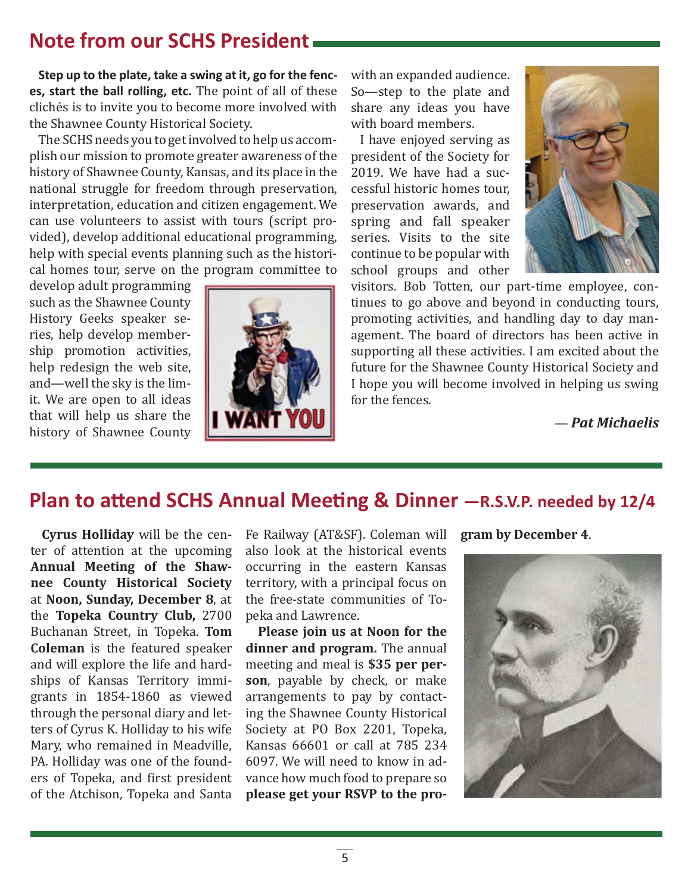## **Note from our SCHS President**

**Step up to the plate, take a swing at it, go for the fences, start the ball rolling, etc.** The point of all of these clichés is to invite you to become more involved with the Shawnee County Historical Society.

The SCHS needs you to get involved to help us accomplish our mission to promote greater awareness of the history of Shawnee County, Kansas, and its place in the national struggle for freedom through preservation, interpretation, education and citizen engagement. We can use volunteers to assist with tours (script provided), develop additional educational programming, help with special events planning such as the historical homes tour, serve on the program committee to

develop adult programming such as the Shawnee County History Geeks speaker series, help develop membership promotion activities, help redesign the web site, and—well the sky is the limit. We are open to all ideas that will help us share the history of Shawnee County



with an expanded audience. So—step to the plate and share any ideas you have with board members.

I have enjoyed serving as president of the Society for 2019. We have had a successful historic homes tour, preservation awards, and spring and fall speaker series. Visits to the site continue to be popular with school groups and other



visitors. Bob Totten, our part-time employee, continues to go above and beyond in conducting tours, promoting activities, and handling day to day management. The board of directors has been active in supporting all these activities. I am excited about the future for the Shawnee County Historical Society and I hope you will become involved in helping us swing for the fences.

— *Pat Michaelis*

## **Plan to attend SCHS Annual Meeting & Dinner -R.S.V.P. needed by 12/4**

**Cyrus Holliday** will be the center of attention at the upcoming **Annual Meeting of the Shawnee County Historical Society**  at **Noon, Sunday, December 8**, at the **Topeka Country Club,** 2700 Buchanan Street, in Topeka. **Tom Coleman** is the featured speaker and will explore the life and hardships of Kansas Territory immigrants in 1854-1860 as viewed through the personal diary and letters of Cyrus K. Holliday to his wife Mary, who remained in Meadville, PA. Holliday was one of the founders of Topeka, and first president of the Atchison, Topeka and Santa

Fe Railway (AT&SF). Coleman will also look at the historical events occurring in the eastern Kansas territory, with a principal focus on the free-state communities of Topeka and Lawrence.

**Please join us at Noon for the dinner and program.** The annual meeting and meal is **\$35 per person**, payable by check, or make arrangements to pay by contacting the Shawnee County Historical Society at PO Box 2201, Topeka, Kansas 66601 or call at 785 234 6097. We will need to know in advance how much food to prepare so **please get your RSVP to the pro-** **gram by December 4**.

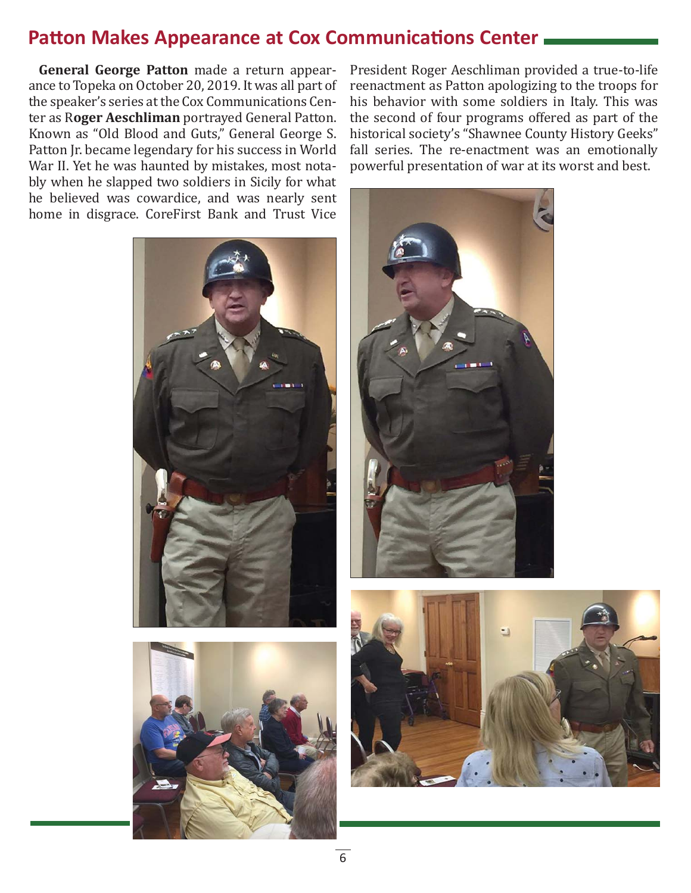## **Patton Makes Appearance at Cox Communications Center**

**General George Patton** made a return appearance to Topeka on October 20, 2019. It was all part of the speaker's series at the Cox Communications Center as R**oger Aeschliman** portrayed General Patton. Known as "Old Blood and Guts," General George S. Patton Jr. became legendary for his success in World War II. Yet he was haunted by mistakes, most notably when he slapped two soldiers in Sicily for what he believed was cowardice, and was nearly sent home in disgrace. CoreFirst Bank and Trust Vice





President Roger Aeschliman provided a true-to-life reenactment as Patton apologizing to the troops for his behavior with some soldiers in Italy. This was the second of four programs offered as part of the historical society's "Shawnee County History Geeks" fall series. The re-enactment was an emotionally powerful presentation of war at its worst and best.



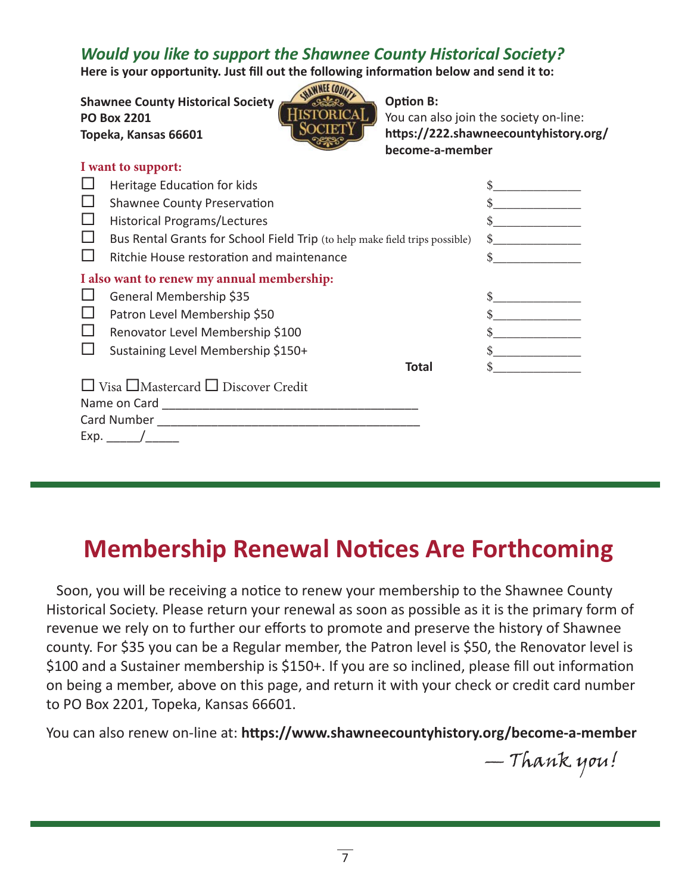### *Would you like to support the Shawnee County Historical Society?*

Here is your opportunity. Just fill out the following information below and send it to:

**Shawnee County Historical Society PO Box 2201 Topeka, Kansas 66601**

| AEE COUNTY    |
|---------------|
| <b>STORIC</b> |
| н             |
|               |

**Option B:** 

You can also join the society on-line: https://222.shawneecountyhistory.org/ **become-a-member**

| I want to support:                         |                                                                             |  |     |  |
|--------------------------------------------|-----------------------------------------------------------------------------|--|-----|--|
|                                            | Heritage Education for kids                                                 |  |     |  |
|                                            | <b>Shawnee County Preservation</b>                                          |  |     |  |
|                                            | <b>Historical Programs/Lectures</b>                                         |  |     |  |
|                                            | Bus Rental Grants for School Field Trip (to help make field trips possible) |  |     |  |
|                                            | Ritchie House restoration and maintenance                                   |  | \$. |  |
| I also want to renew my annual membership: |                                                                             |  |     |  |
|                                            | General Membership \$35                                                     |  |     |  |
|                                            | Patron Level Membership \$50                                                |  |     |  |
|                                            | Renovator Level Membership \$100                                            |  |     |  |
|                                            | Sustaining Level Membership \$150+                                          |  |     |  |
|                                            | Total                                                                       |  |     |  |
|                                            | $\Box$ Visa $\Box$ Mastercard $\Box$ Discover Credit                        |  |     |  |
| Name on Card                               |                                                                             |  |     |  |
|                                            |                                                                             |  |     |  |
| Exp. $/$                                   |                                                                             |  |     |  |

# **Membership Renewal Notices Are Forthcoming**

Soon, you will be receiving a notice to renew your membership to the Shawnee County Historical Society. Please return your renewal as soon as possible as it is the primary form of revenue we rely on to further our efforts to promote and preserve the history of Shawnee county. For \$35 you can be a Regular member, the Patron level is \$50, the Renovator level is \$100 and a Sustainer membership is \$150+. If you are so inclined, please fill out information on being a member, above on this page, and return it with your check or credit card number to PO Box 2201, Topeka, Kansas 66601.

You can also renew on-line at: https://www.shawneecountyhistory.org/become-a-member

— Thank you!